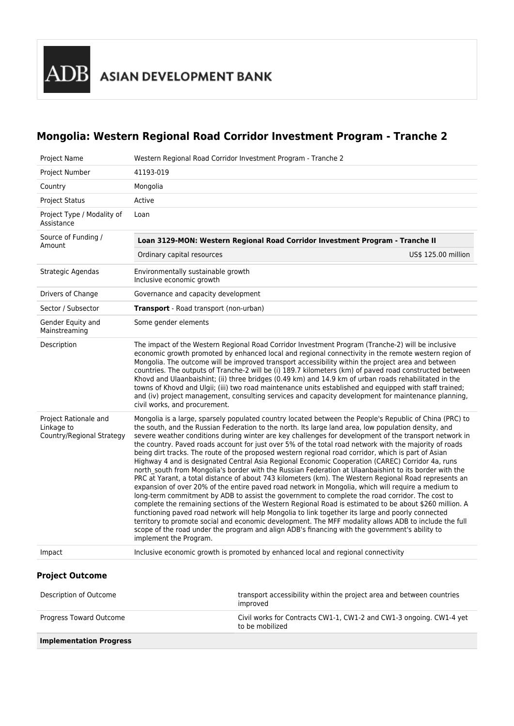# **Mongolia: Western Regional Road Corridor Investment Program - Tranche 2**

| Project Name                                                     |                                                                                                                                                                                                                                                                                                                                                                                                                                                                                                                                                                                                                                                                                                                                                                                        | Western Regional Road Corridor Investment Program - Tranche 2                                                                                                                                                                                                                                                                                                                                                                                                                                                                                                                                                                                                                                                                                                                                                                                                                                                                                                                                                                                                                                                                                                                                                                                                                                                                                                                                                                                                                                        |                     |
|------------------------------------------------------------------|----------------------------------------------------------------------------------------------------------------------------------------------------------------------------------------------------------------------------------------------------------------------------------------------------------------------------------------------------------------------------------------------------------------------------------------------------------------------------------------------------------------------------------------------------------------------------------------------------------------------------------------------------------------------------------------------------------------------------------------------------------------------------------------|------------------------------------------------------------------------------------------------------------------------------------------------------------------------------------------------------------------------------------------------------------------------------------------------------------------------------------------------------------------------------------------------------------------------------------------------------------------------------------------------------------------------------------------------------------------------------------------------------------------------------------------------------------------------------------------------------------------------------------------------------------------------------------------------------------------------------------------------------------------------------------------------------------------------------------------------------------------------------------------------------------------------------------------------------------------------------------------------------------------------------------------------------------------------------------------------------------------------------------------------------------------------------------------------------------------------------------------------------------------------------------------------------------------------------------------------------------------------------------------------------|---------------------|
| Project Number                                                   | 41193-019                                                                                                                                                                                                                                                                                                                                                                                                                                                                                                                                                                                                                                                                                                                                                                              |                                                                                                                                                                                                                                                                                                                                                                                                                                                                                                                                                                                                                                                                                                                                                                                                                                                                                                                                                                                                                                                                                                                                                                                                                                                                                                                                                                                                                                                                                                      |                     |
| Country                                                          | Mongolia                                                                                                                                                                                                                                                                                                                                                                                                                                                                                                                                                                                                                                                                                                                                                                               |                                                                                                                                                                                                                                                                                                                                                                                                                                                                                                                                                                                                                                                                                                                                                                                                                                                                                                                                                                                                                                                                                                                                                                                                                                                                                                                                                                                                                                                                                                      |                     |
| <b>Project Status</b>                                            | Active                                                                                                                                                                                                                                                                                                                                                                                                                                                                                                                                                                                                                                                                                                                                                                                 |                                                                                                                                                                                                                                                                                                                                                                                                                                                                                                                                                                                                                                                                                                                                                                                                                                                                                                                                                                                                                                                                                                                                                                                                                                                                                                                                                                                                                                                                                                      |                     |
| Project Type / Modality of<br>Assistance                         | Loan                                                                                                                                                                                                                                                                                                                                                                                                                                                                                                                                                                                                                                                                                                                                                                                   |                                                                                                                                                                                                                                                                                                                                                                                                                                                                                                                                                                                                                                                                                                                                                                                                                                                                                                                                                                                                                                                                                                                                                                                                                                                                                                                                                                                                                                                                                                      |                     |
| Source of Funding /<br>Amount                                    | Loan 3129-MON: Western Regional Road Corridor Investment Program - Tranche II                                                                                                                                                                                                                                                                                                                                                                                                                                                                                                                                                                                                                                                                                                          |                                                                                                                                                                                                                                                                                                                                                                                                                                                                                                                                                                                                                                                                                                                                                                                                                                                                                                                                                                                                                                                                                                                                                                                                                                                                                                                                                                                                                                                                                                      |                     |
|                                                                  | Ordinary capital resources                                                                                                                                                                                                                                                                                                                                                                                                                                                                                                                                                                                                                                                                                                                                                             |                                                                                                                                                                                                                                                                                                                                                                                                                                                                                                                                                                                                                                                                                                                                                                                                                                                                                                                                                                                                                                                                                                                                                                                                                                                                                                                                                                                                                                                                                                      | US\$ 125.00 million |
| Strategic Agendas                                                | Environmentally sustainable growth<br>Inclusive economic growth                                                                                                                                                                                                                                                                                                                                                                                                                                                                                                                                                                                                                                                                                                                        |                                                                                                                                                                                                                                                                                                                                                                                                                                                                                                                                                                                                                                                                                                                                                                                                                                                                                                                                                                                                                                                                                                                                                                                                                                                                                                                                                                                                                                                                                                      |                     |
| Drivers of Change                                                | Governance and capacity development                                                                                                                                                                                                                                                                                                                                                                                                                                                                                                                                                                                                                                                                                                                                                    |                                                                                                                                                                                                                                                                                                                                                                                                                                                                                                                                                                                                                                                                                                                                                                                                                                                                                                                                                                                                                                                                                                                                                                                                                                                                                                                                                                                                                                                                                                      |                     |
| Sector / Subsector                                               | Transport - Road transport (non-urban)                                                                                                                                                                                                                                                                                                                                                                                                                                                                                                                                                                                                                                                                                                                                                 |                                                                                                                                                                                                                                                                                                                                                                                                                                                                                                                                                                                                                                                                                                                                                                                                                                                                                                                                                                                                                                                                                                                                                                                                                                                                                                                                                                                                                                                                                                      |                     |
| Gender Equity and<br>Mainstreaming                               | Some gender elements                                                                                                                                                                                                                                                                                                                                                                                                                                                                                                                                                                                                                                                                                                                                                                   |                                                                                                                                                                                                                                                                                                                                                                                                                                                                                                                                                                                                                                                                                                                                                                                                                                                                                                                                                                                                                                                                                                                                                                                                                                                                                                                                                                                                                                                                                                      |                     |
| Description                                                      | The impact of the Western Regional Road Corridor Investment Program (Tranche-2) will be inclusive<br>economic growth promoted by enhanced local and regional connectivity in the remote western region of<br>Mongolia. The outcome will be improved transport accessibility within the project area and between<br>countries. The outputs of Tranche-2 will be (i) 189.7 kilometers (km) of paved road constructed between<br>Khovd and Ulaanbaishint; (ii) three bridges (0.49 km) and 14.9 km of urban roads rehabilitated in the<br>towns of Khovd and Ulgii; (iii) two road maintenance units established and equipped with staff trained;<br>and (iv) project management, consulting services and capacity development for maintenance planning,<br>civil works, and procurement. |                                                                                                                                                                                                                                                                                                                                                                                                                                                                                                                                                                                                                                                                                                                                                                                                                                                                                                                                                                                                                                                                                                                                                                                                                                                                                                                                                                                                                                                                                                      |                     |
| Project Rationale and<br>Linkage to<br>Country/Regional Strategy | implement the Program.                                                                                                                                                                                                                                                                                                                                                                                                                                                                                                                                                                                                                                                                                                                                                                 | Mongolia is a large, sparsely populated country located between the People's Republic of China (PRC) to<br>the south, and the Russian Federation to the north. Its large land area, low population density, and<br>severe weather conditions during winter are key challenges for development of the transport network in<br>the country. Paved roads account for just over 5% of the total road network with the majority of roads<br>being dirt tracks. The route of the proposed western regional road corridor, which is part of Asian<br>Highway 4 and is designated Central Asia Regional Economic Cooperation (CAREC) Corridor 4a, runs<br>north south from Mongolia's border with the Russian Federation at Ulaanbaishint to its border with the<br>PRC at Yarant, a total distance of about 743 kilometers (km). The Western Regional Road represents an<br>expansion of over 20% of the entire paved road network in Mongolia, which will require a medium to<br>long-term commitment by ADB to assist the government to complete the road corridor. The cost to<br>complete the remaining sections of the Western Regional Road is estimated to be about \$260 million. A<br>functioning paved road network will help Mongolia to link together its large and poorly connected<br>territory to promote social and economic development. The MFF modality allows ADB to include the full<br>scope of the road under the program and align ADB's financing with the government's ability to |                     |
| Impact                                                           |                                                                                                                                                                                                                                                                                                                                                                                                                                                                                                                                                                                                                                                                                                                                                                                        | Inclusive economic growth is promoted by enhanced local and regional connectivity                                                                                                                                                                                                                                                                                                                                                                                                                                                                                                                                                                                                                                                                                                                                                                                                                                                                                                                                                                                                                                                                                                                                                                                                                                                                                                                                                                                                                    |                     |
| <b>Project Outcome</b>                                           |                                                                                                                                                                                                                                                                                                                                                                                                                                                                                                                                                                                                                                                                                                                                                                                        |                                                                                                                                                                                                                                                                                                                                                                                                                                                                                                                                                                                                                                                                                                                                                                                                                                                                                                                                                                                                                                                                                                                                                                                                                                                                                                                                                                                                                                                                                                      |                     |
| Description of Outcome                                           |                                                                                                                                                                                                                                                                                                                                                                                                                                                                                                                                                                                                                                                                                                                                                                                        | transport accessibility within the project area and between countries<br>improved                                                                                                                                                                                                                                                                                                                                                                                                                                                                                                                                                                                                                                                                                                                                                                                                                                                                                                                                                                                                                                                                                                                                                                                                                                                                                                                                                                                                                    |                     |
| Progress Toward Outcome                                          |                                                                                                                                                                                                                                                                                                                                                                                                                                                                                                                                                                                                                                                                                                                                                                                        | Civil works for Contracts CW1-1, CW1-2 and CW1-3 ongoing. CW1-4 yet<br>to be mobilized                                                                                                                                                                                                                                                                                                                                                                                                                                                                                                                                                                                                                                                                                                                                                                                                                                                                                                                                                                                                                                                                                                                                                                                                                                                                                                                                                                                                               |                     |
| <b>Implementation Progress</b>                                   |                                                                                                                                                                                                                                                                                                                                                                                                                                                                                                                                                                                                                                                                                                                                                                                        |                                                                                                                                                                                                                                                                                                                                                                                                                                                                                                                                                                                                                                                                                                                                                                                                                                                                                                                                                                                                                                                                                                                                                                                                                                                                                                                                                                                                                                                                                                      |                     |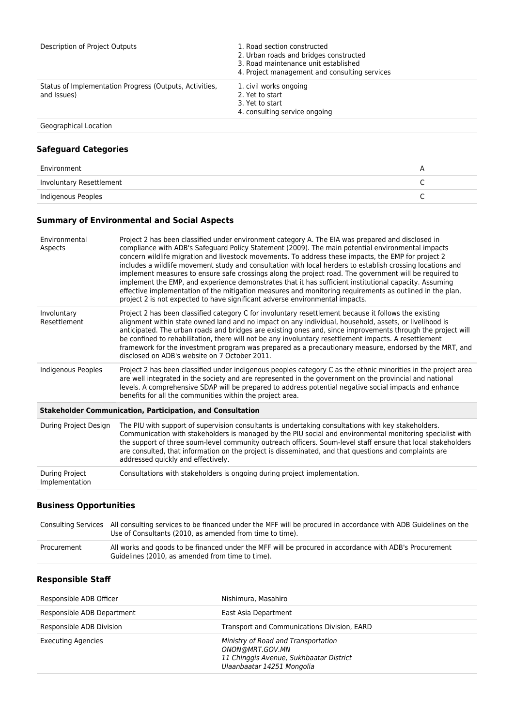| Description of Project Outputs                                         | 1. Road section constructed<br>2. Urban roads and bridges constructed<br>3. Road maintenance unit established<br>4. Project management and consulting services |
|------------------------------------------------------------------------|----------------------------------------------------------------------------------------------------------------------------------------------------------------|
| Status of Implementation Progress (Outputs, Activities,<br>and Issues) | 1. civil works ongoing<br>2. Yet to start<br>3. Yet to start<br>4. consulting service ongoing                                                                  |
| Geographical Location                                                  |                                                                                                                                                                |

# **Safeguard Categories**

| Environment              |  |
|--------------------------|--|
| Involuntary Resettlement |  |
| Indigenous Peoples       |  |

# **Summary of Environmental and Social Aspects**

| Environmental<br>Aspects         | Project 2 has been classified under environment category A. The EIA was prepared and disclosed in<br>compliance with ADB's Safeguard Policy Statement (2009). The main potential environmental impacts<br>concern wildlife migration and livestock movements. To address these impacts, the EMP for project 2<br>includes a wildlife movement study and consultation with local herders to establish crossing locations and<br>implement measures to ensure safe crossings along the project road. The government will be required to<br>implement the EMP, and experience demonstrates that it has sufficient institutional capacity. Assuming<br>effective implementation of the mitigation measures and monitoring requirements as outlined in the plan,<br>project 2 is not expected to have significant adverse environmental impacts. |
|----------------------------------|---------------------------------------------------------------------------------------------------------------------------------------------------------------------------------------------------------------------------------------------------------------------------------------------------------------------------------------------------------------------------------------------------------------------------------------------------------------------------------------------------------------------------------------------------------------------------------------------------------------------------------------------------------------------------------------------------------------------------------------------------------------------------------------------------------------------------------------------|
| Involuntary<br>Resettlement      | Project 2 has been classified category C for involuntary resettlement because it follows the existing<br>alignment within state owned land and no impact on any individual, household, assets, or livelihood is<br>anticipated. The urban roads and bridges are existing ones and, since improvements through the project will<br>be confined to rehabilitation, there will not be any involuntary resettlement impacts. A resettlement<br>framework for the investment program was prepared as a precautionary measure, endorsed by the MRT, and<br>disclosed on ADB's website on 7 October 2011.                                                                                                                                                                                                                                          |
| Indigenous Peoples               | Project 2 has been classified under indigenous peoples category C as the ethnic minorities in the project area<br>are well integrated in the society and are represented in the government on the provincial and national<br>levels. A comprehensive SDAP will be prepared to address potential negative social impacts and enhance<br>benefits for all the communities within the project area.                                                                                                                                                                                                                                                                                                                                                                                                                                            |
|                                  | <b>Stakeholder Communication, Participation, and Consultation</b>                                                                                                                                                                                                                                                                                                                                                                                                                                                                                                                                                                                                                                                                                                                                                                           |
| During Project Design            | The PIU with support of supervision consultants is undertaking consultations with key stakeholders.<br>Communication with stakeholders is managed by the PIU social and environmental monitoring specialist with<br>the support of three soum-level community outreach officers. Soum-level staff ensure that local stakeholders<br>are consulted, that information on the project is disseminated, and that questions and complaints are<br>addressed quickly and effectively.                                                                                                                                                                                                                                                                                                                                                             |
| During Project<br>Implementation | Consultations with stakeholders is ongoing during project implementation.                                                                                                                                                                                                                                                                                                                                                                                                                                                                                                                                                                                                                                                                                                                                                                   |
|                                  |                                                                                                                                                                                                                                                                                                                                                                                                                                                                                                                                                                                                                                                                                                                                                                                                                                             |

### **Business Opportunities**

|             | Consulting Services All consulting services to be financed under the MFF will be procured in accordance with ADB Guidelines on the<br>Use of Consultants (2010, as amended from time to time). |  |
|-------------|------------------------------------------------------------------------------------------------------------------------------------------------------------------------------------------------|--|
| Procurement | All works and goods to be financed under the MFF will be procured in accordance with ADB's Procurement<br>Guidelines (2010, as amended from time to time).                                     |  |

#### **Responsible Staff**

| Responsible ADB Officer    | Nishimura, Masahiro                                                                                                             |
|----------------------------|---------------------------------------------------------------------------------------------------------------------------------|
| Responsible ADB Department | East Asia Department                                                                                                            |
| Responsible ADB Division   | Transport and Communications Division, EARD                                                                                     |
| <b>Executing Agencies</b>  | Ministry of Road and Transportation<br>ONON@MRT.GOV.MN<br>11 Chinggis Avenue, Sukhbaatar District<br>Ulaanbaatar 14251 Mongolia |